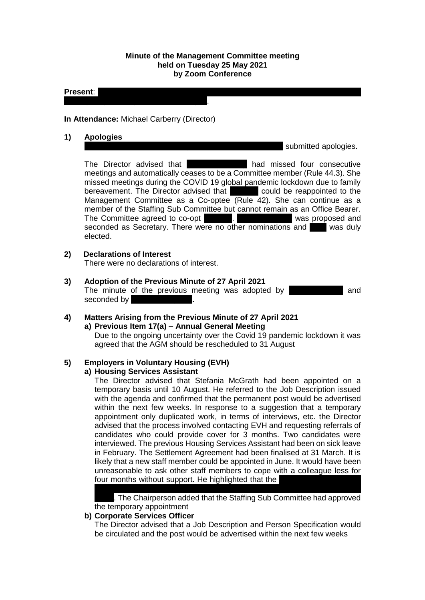#### **Minute of the Management Committee meeting held on Tuesday 25 May 2021 by Zoom Conference**

#### **Present:** Lazarous Chisela, Manal Eshelli; Joan Reuston; Sheena Stephen; Sheena Stephen; Sheena Stephen; Sheena Stephen; Sheena Stephen; Sheena Stephen; Sheena Stephen; Sheena Stephen; Sheena Stephen; Sheena Stephen; Shee

### **In Attendance:** Michael Carberry (Director)

Tierney; Olga Vassiljeva and Ewa Wojcik.

**1) Apologies**

submitted apologies.

The Director advised that Frances The Missed four consecutive meetings and automatically ceases to be a Committee member (Rule 44.3). She missed meetings during the COVID 19 global pandemic lockdown due to family bereavement. The Director advised that France could be reappointed to the Management Committee as a Co-optee (Rule 42). She can continue as a member of the Staffing Sub Committee but cannot remain as an Office Bearer. The Committee agreed to co-opt Frances. Committee agreed to co-opt Frances. Committee and seconded as Secretary. There were no other nominations and elected.

### **2) Declarations of Interest**

There were no declarations of interest.

**3) Adoption of the Previous Minute of 27 April 2021** The minute of the previous meeting was adopted by **Accelerate and** and seconded by

# **4) Matters Arising from the Previous Minute of 27 April 2021 a) Previous Item 17(a) – Annual General Meeting**

Due to the ongoing uncertainty over the Covid 19 pandemic lockdown it was agreed that the AGM should be rescheduled to 31 August

#### **5) Employers in Voluntary Housing (EVH) a) Housing Services Assistant**

The Director advised that Stefania McGrath had been appointed on a temporary basis until 10 August. He referred to the Job Description issued with the agenda and confirmed that the permanent post would be advertised within the next few weeks. In response to a suggestion that a temporary appointment only duplicated work, in terms of interviews, etc. the Director advised that the process involved contacting EVH and requesting referrals of candidates who could provide cover for 3 months. Two candidates were interviewed. The previous Housing Services Assistant had been on sick leave in February. The Settlement Agreement had been finalised at 31 March. It is likely that a new staff member could be appointed in June. It would have been unreasonable to ask other staff members to cope with a colleague less for four months without support. He highlighted that the

ongoing for more than two years, placing all staff members under tremendous . The Chairperson added that the Staffing Sub Committee had approved the temporary appointment

### **b) Corporate Services Officer**

The Director advised that a Job Description and Person Specification would be circulated and the post would be advertised within the next few weeks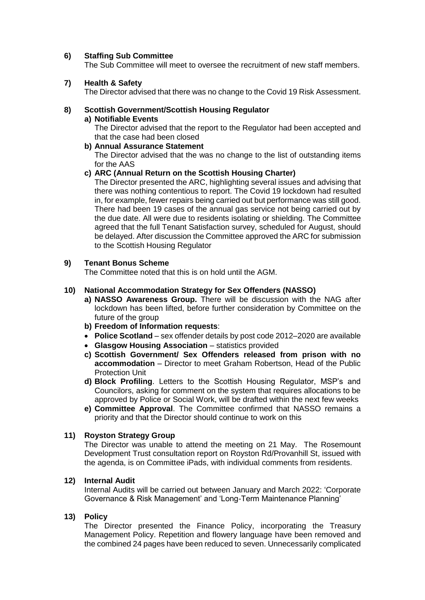## **6) Staffing Sub Committee**

The Sub Committee will meet to oversee the recruitment of new staff members.

## **7) Health & Safety**

The Director advised that there was no change to the Covid 19 Risk Assessment.

# **8) Scottish Government/Scottish Housing Regulator**

## **a) Notifiable Events**

The Director advised that the report to the Regulator had been accepted and that the case had been closed

## **b) Annual Assurance Statement**

The Director advised that the was no change to the list of outstanding items for the AAS

# **c) ARC (Annual Return on the Scottish Housing Charter)**

The Director presented the ARC, highlighting several issues and advising that there was nothing contentious to report. The Covid 19 lockdown had resulted in, for example, fewer repairs being carried out but performance was still good. There had been 19 cases of the annual gas service not being carried out by the due date. All were due to residents isolating or shielding. The Committee agreed that the full Tenant Satisfaction survey, scheduled for August, should be delayed. After discussion the Committee approved the ARC for submission to the Scottish Housing Regulator

# **9) Tenant Bonus Scheme**

The Committee noted that this is on hold until the AGM.

# **10) National Accommodation Strategy for Sex Offenders (NASSO)**

- **a) NASSO Awareness Group.** There will be discussion with the NAG after lockdown has been lifted, before further consideration by Committee on the future of the group
- **b) Freedom of Information requests**:
- **Police Scotland** sex offender details by post code 2012–2020 are available
- **Glasgow Housing Association** statistics provided
- **c) Scottish Government/ Sex Offenders released from prison with no accommodation** – Director to meet Graham Robertson, Head of the Public Protection Unit
- **d) Block Profiling**. Letters to the Scottish Housing Regulator, MSP's and Councilors, asking for comment on the system that requires allocations to be approved by Police or Social Work, will be drafted within the next few weeks
- **e) Committee Approval**. The Committee confirmed that NASSO remains a priority and that the Director should continue to work on this

### **11) Royston Strategy Group**

The Director was unable to attend the meeting on 21 May. The Rosemount Development Trust consultation report on Royston Rd/Provanhill St, issued with the agenda, is on Committee iPads, with individual comments from residents.

### **12) Internal Audit**

Internal Audits will be carried out between January and March 2022: 'Corporate Governance & Risk Management' and 'Long-Term Maintenance Planning'

# **13) Policy**

The Director presented the Finance Policy, incorporating the Treasury Management Policy. Repetition and flowery language have been removed and the combined 24 pages have been reduced to seven. Unnecessarily complicated